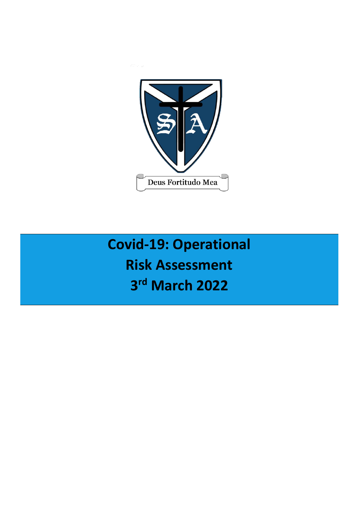

# **Covid-19: Operational Risk Assessment 3 rd March 2022**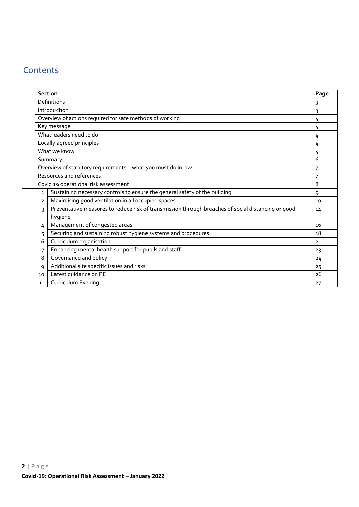# **Contents**

|                | <b>Section</b>                                                                                     | Page |  |  |  |  |  |  |  |
|----------------|----------------------------------------------------------------------------------------------------|------|--|--|--|--|--|--|--|
|                | Definitions                                                                                        | 3    |  |  |  |  |  |  |  |
|                | Introduction                                                                                       | 3    |  |  |  |  |  |  |  |
|                | Overview of actions required for safe methods of working                                           | 4    |  |  |  |  |  |  |  |
|                | Key message<br>4                                                                                   |      |  |  |  |  |  |  |  |
|                | What leaders need to do                                                                            | 4    |  |  |  |  |  |  |  |
|                | Locally agreed principles                                                                          | 4    |  |  |  |  |  |  |  |
|                | What we know                                                                                       | 4    |  |  |  |  |  |  |  |
|                | Summary                                                                                            | 6    |  |  |  |  |  |  |  |
|                | Overview of statutory requirements - what you must do in law                                       |      |  |  |  |  |  |  |  |
|                | Resources and references                                                                           |      |  |  |  |  |  |  |  |
|                | Covid 19 operational risk assessment                                                               |      |  |  |  |  |  |  |  |
| $\mathbf{1}$   | Sustaining necessary controls to ensure the general safety of the building                         | 9    |  |  |  |  |  |  |  |
| $\overline{2}$ | Maximising good ventilation in all occupied spaces                                                 | 10   |  |  |  |  |  |  |  |
| 3              | Preventative measures to reduce risk of transmission through breaches of social distancing or good |      |  |  |  |  |  |  |  |
|                | 14<br>hygiene                                                                                      |      |  |  |  |  |  |  |  |
| 4              | Management of congested areas                                                                      | 16   |  |  |  |  |  |  |  |
| 5              | Securing and sustaining robust hygiene systems and procedures                                      | 18   |  |  |  |  |  |  |  |
| 6              | Curriculum organisation                                                                            | 21   |  |  |  |  |  |  |  |
| 7              | Enhancing mental health support for pupils and staff                                               | 23   |  |  |  |  |  |  |  |
| 8              | Governance and policy                                                                              | 24   |  |  |  |  |  |  |  |
| 9              | Additional site specific issues and risks                                                          | 25   |  |  |  |  |  |  |  |
| 10             | Latest guidance on PE                                                                              | 26   |  |  |  |  |  |  |  |
| 11             | Curriculum Evening                                                                                 | 27   |  |  |  |  |  |  |  |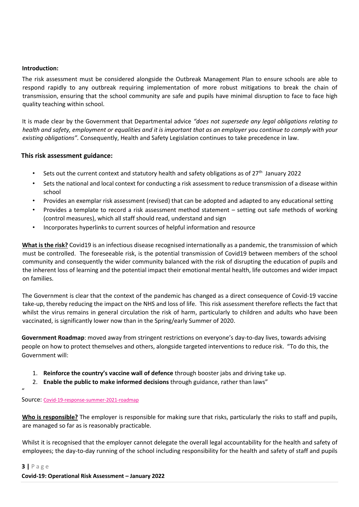#### **Introduction:**

The risk assessment must be considered alongside the Outbreak Management Plan to ensure schools are able to respond rapidly to any outbreak requiring implementation of more robust mitigations to break the chain of transmission, ensuring that the school community are safe and pupils have minimal disruption to face to face high quality teaching within school.

It is made clear by the Government that Departmental advice *"does not supersede any legal obligations relating to health and safety, employment or equalities and it is important that as an employer you continue to comply with your existing obligations".* Consequently, Health and Safety Legislation continues to take precedence in law.

# **This risk assessment guidance:**

- Sets out the current context and statutory health and safety obligations as of  $27<sup>th</sup>$  January 2022
- Sets the national and local context for conducting a risk assessment to reduce transmission of a disease within school
- Provides an exemplar risk assessment (revised) that can be adopted and adapted to any educational setting
- Provides a template to record a risk assessment method statement setting out safe methods of working (control measures), which all staff should read, understand and sign
- Incorporates hyperlinks to current sources of helpful information and resource

**What is the risk?** Covid19 is an infectious disease recognised internationally as a pandemic, the transmission of which must be controlled. The foreseeable risk, is the potential transmission of Covid19 between members of the school community and consequently the wider community balanced with the risk of disrupting the education of pupils and the inherent loss of learning and the potential impact their emotional mental health, life outcomes and wider impact on families.

The Government is clear that the context of the pandemic has changed as a direct consequence of Covid-19 vaccine take-up, thereby reducing the impact on the NHS and loss of life. This risk assessment therefore reflects the fact that whilst the virus remains in general circulation the risk of harm, particularly to children and adults who have been vaccinated, is significantly lower now than in the Spring/early Summer of 2020.

**Government Roadmap**: moved away from stringent restrictions on everyone's day-to-day lives, towards advising people on how to protect themselves and others, alongside targeted interventions to reduce risk. "To do this, the Government will:

- 1. **Reinforce the country's vaccine wall of defence** through booster jabs and driving take up.
- 2. **Enable the public to make informed decisions** through guidance, rather than laws"

# Source: [Covid-19-response-summer-2021-roadmap](https://www.gov.uk/government/publications/covid-19-response-summer-2021-roadmap/covid-19-response-summer-2021)

**Who is responsible?** The employer is responsible for making sure that risks, particularly the risks to staff and pupils, are managed so far as is reasonably practicable.

Whilst it is recognised that the employer cannot delegate the overall legal accountability for the health and safety of employees; the day-to-day running of the school including responsibility for the health and safety of staff and pupils

#### **3 |** P a g e

 $^{\prime\prime}$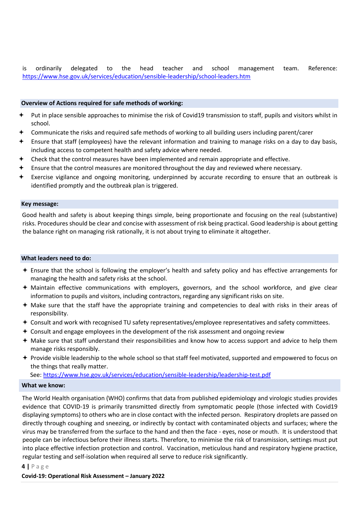is ordinarily delegated to the head teacher and school management team. Reference: <https://www.hse.gov.uk/services/education/sensible-leadership/school-leaders.htm>

#### **Overview of Actions required for safe methods of working:**

- Put in place sensible approaches to minimise the risk of Covid19 transmission to staff, pupils and visitors whilst in school.
- Communicate the risks and required safe methods of working to all building users including parent/carer
- Ensure that staff (employees) have the relevant information and training to manage risks on a day to day basis, including access to competent health and safety advice where needed.
- Check that the control measures have been implemented and remain appropriate and effective.
- Ensure that the control measures are monitored throughout the day and reviewed where necessary.
- Exercise vigilance and ongoing monitoring, underpinned by accurate recording to ensure that an outbreak is identified promptly and the outbreak plan is triggered.

#### **Key message:**

Good health and safety is about keeping things simple, being proportionate and focusing on the real (substantive) risks. Procedures should be clear and concise with assessment of risk being practical. Good leadership is about getting the balance right on managing risk rationally, it is not about trying to eliminate it altogether.

#### **What leaders need to do:**

- Ensure that the school is following the employer's health and safety policy and has effective arrangements for managing the health and safety risks at the school.
- Maintain effective communications with employers, governors, and the school workforce, and give clear information to pupils and visitors, including contractors, regarding any significant risks on site.
- Make sure that the staff have the appropriate training and competencies to deal with risks in their areas of responsibility.
- Consult and work with recognised TU safety representatives/employee representatives and safety committees.
- $\triangle$  Consult and engage employees in the development of the risk assessment and ongoing review
- Make sure that staff understand their responsibilities and know how to access support and advice to help them manage risks responsibly.
- Provide visible leadership to the whole school so that staff feel motivated, supported and empowered to focus on the things that really matter.

See[: https://www.hse.gov.uk/services/education/sensible-leadership/leadership-test.pdf](https://www.hse.gov.uk/services/education/sensible-leadership/leadership-test.pdf)

#### **What we know:**

The World Health organisation (WHO) confirms that data from published epidemiology and virologic studies provides evidence that COVID-19 is primarily transmitted directly from symptomatic people (those infected with Covid19 displaying symptoms) to others who are in close contact with the infected person. Respiratory droplets are passed on directly through coughing and sneezing, or indirectly by contact with contaminated objects and surfaces; where the virus may be transferred from the surface to the hand and then the face - eyes, nose or mouth. It is understood that people can be infectious before their illness starts. Therefore, to minimise the risk of transmission, settings must put into place effective infection protection and control. Vaccination, meticulous hand and respiratory hygiene practice, regular testing and self-isolation when required all serve to reduce risk significantly.

#### **4 |** P a g e

**Covid-19: Operational Risk Assessment – January 2022**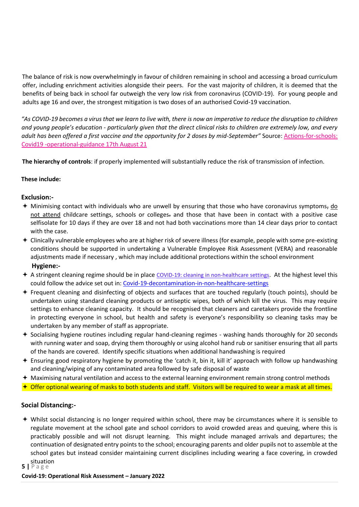The balance of risk is now overwhelmingly in favour of children remaining in school and accessing a broad curriculum offer, including enrichment activities alongside their peers. For the vast majority of children, it is deemed that the benefits of being back in school far outweigh the very low risk from coronavirus (COVID-19). For young people and adults age 16 and over, the strongest mitigation is two doses of an authorised Covid-19 vaccination.

*"As COVID-19 becomes a virus that we learn to live with, there is now an imperative to reduce the disruption to children and young people's education - particularly given that the direct clinical risks to children are extremely low, and every adult has been offered a first vaccine and the opportunity for 2 doses by mid-September"* Source: [Actions-for-schools:](https://www.gov.uk/government/publications/actions-for-schools-during-the-coronavirus-outbreak/schools-covid-19-operational-guidance) [Covid19 -operational-guidance 17th August 21](https://www.gov.uk/government/publications/actions-for-schools-during-the-coronavirus-outbreak/schools-covid-19-operational-guidance)

**The hierarchy of controls**: if properly implemented will substantially reduce the risk of transmission of infection.

# **These include:**

# **Exclusion:-**

- $+$  Minimising contact with individuals who are unwell by ensuring that those who have coronavirus symptoms,  $\underline{do}$ not attend childcare settings, schools or colleges- and those that have been in contact with a positive case selfisolate for 10 days if they are over 18 and not had both vaccinations more than 14 clear days prior to contact with the case.
- Clinically vulnerable employees who are at higher risk of severe illness (for example, people with some pre-existing conditions should be supported in undertaking a Vulnerable Employee Risk Assessment (VERA) and reasonable adjustments made if necessary , which may include additional protections within the school environment **Hygiene:-**
- A stringent cleaning regime should be in place [COVID-19: cleaning in non-healthcare settings](https://www.gov.uk/government/publications/covid-19-decontamination-in-non-healthcare-settings)[.](https://www.gov.uk/government/publications/covid-19-decontamination-in-non-healthcare-settings) At the highest level this could follow the advice set out in: [Covid-19-decontamination-in-non-healthcare-settings](https://www.gov.uk/government/publications/covid-19-decontamination-in-non-healthcare-settings/covid-19-decontamination-in-non-healthcare-settings)
- Frequent cleaning and disinfecting of objects and surfaces that are touched regularly (touch points), should be undertaken using standard cleaning products or antiseptic wipes, both of which kill the virus. This may require settings to enhance cleaning capacity. It should be recognised that cleaners and caretakers provide the frontline in protecting everyone in school, but health and safety is everyone's responsibility so cleaning tasks may be undertaken by any member of staff as appropriate.
- Socialising hygiene routines including regular hand-cleaning regimes washing hands thoroughly for 20 seconds with running water and soap, drying them thoroughly or using alcohol hand rub or sanitiser ensuring that all parts of the hands are covered. Identify specific situations when additional handwashing is required
- Ensuring good respiratory hygiene by promoting the 'catch it, bin it, kill it' approach with follow up handwashing and cleaning/wiping of any contaminated area followed by safe disposal of waste
- Maximising natural ventilation and access to the external learning environment remain strong control methods
- $\bigstar$  Offer optional wearing of masks to both students and staff. Visitors will be required to wear a mask at all times.

# **Social Distancing:-**

 Whilst social distancing is no longer required within school, there may be circumstances where it is sensible to regulate movement at the school gate and school corridors to avoid crowded areas and queuing, where this is practicably possible and will not disrupt learning. This might include managed arrivals and departures; the continuation of designated entry points to the school; encouraging parents and older pupils not to assemble at the school gates but instead consider maintaining current disciplines including wearing a face covering, in crowded situation

# **5 |** P a g e

#### **Covid-19: Operational Risk Assessment – January 2022**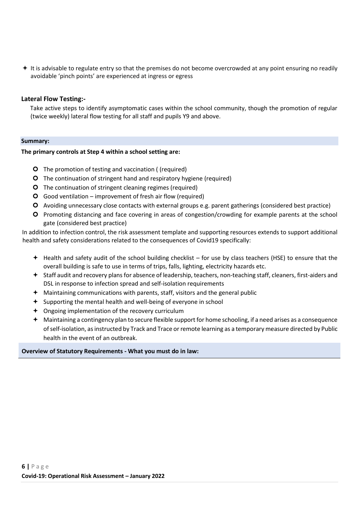$+$  It is advisable to regulate entry so that the premises do not become overcrowded at any point ensuring no readily avoidable 'pinch points' are experienced at ingress or egress

#### **Lateral Flow Testing:-**

Take active steps to identify asymptomatic cases within the school community, though the promotion of regular (twice weekly) lateral flow testing for all staff and pupils Y9 and above.

#### **Summary:**

#### **The primary controls at Step 4 within a school setting are:**

- **O** The promotion of testing and vaccination ((required)
- **O** The continuation of stringent hand and respiratory hygiene (required)
- **O** The continuation of stringent cleaning regimes (required)
- Good ventilation improvement of fresh air flow (required)
- Avoiding unnecessary close contacts with external groups e.g. parent gatherings (considered best practice)
- Promoting distancing and face covering in areas of congestion/crowding for example parents at the school gate (considered best practice)

In addition to infection control, the risk assessment template and supporting resources extends to support additional health and safety considerations related to the consequences of Covid19 specifically:

- $+$  Health and safety audit of the school building checklist for use by class teachers (HSE) to ensure that the overall building is safe to use in terms of trips, falls, lighting, electricity hazards etc.
- Staff audit and recovery plans for absence of leadership, teachers, non-teaching staff, cleaners, first-aiders and DSL in response to infection spread and self-isolation requirements
- Maintaining communications with parents, staff, visitors and the general public
- $\div$  Supporting the mental health and well-being of everyone in school
- Ongoing implementation of the recovery curriculum
- $\bigstar$  Maintaining a contingency plan to secure flexible support for home schooling, if a need arises as a consequence of self-isolation, as instructed by Track and Trace or remote learning as a temporary measure directed by Public health in the event of an outbreak.

#### **Overview of Statutory Requirements - What you must do in law:**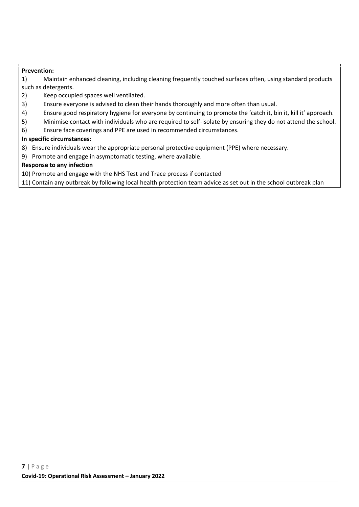#### **Prevention:**

1) Maintain enhanced cleaning, including cleaning frequently touched surfaces often, using standard products such as detergents.

- 2) Keep occupied spaces well ventilated.
- 3) Ensure everyone is advised to clean their hands thoroughly and more often than usual.
- 4) Ensure good respiratory hygiene for everyone by continuing to promote the 'catch it, bin it, kill it' approach.
- 5) Minimise contact with individuals who are required to self-isolate by ensuring they do not attend the school.
- 6) Ensure face coverings and PPE are used in recommended circumstances.

#### **In specific circumstances:**

- 8) Ensure individuals wear the appropriate personal protective equipment (PPE) where necessary.
- 9) Promote and engage in asymptomatic testing, where available.

#### **Response to any infection**

10) Promote and engage with the NHS Test and Trace process if contacted

11) Contain any outbreak by following local health protection team advice as set out in the school outbreak plan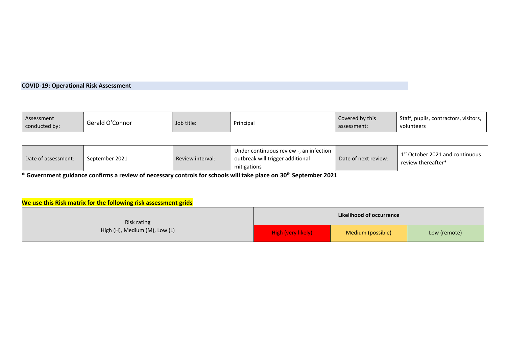# **COVID-19: Operational Risk Assessment**

| Assessment    | Gerald O'Connor | Job title: | Principa | Covered by this | Staff, pupils, contractors, visitors, |
|---------------|-----------------|------------|----------|-----------------|---------------------------------------|
| conducted by: |                 |            |          | assessment:     | volunteers                            |

| Date of assessment: | September 2021 | Review interval: | Under continuous review -, an infection<br>outbreak will trigger additional<br>mitigations | Date of next review: | 1 <sup>st</sup> October 2021 and continuous<br>review thereafter* |
|---------------------|----------------|------------------|--------------------------------------------------------------------------------------------|----------------------|-------------------------------------------------------------------|
|---------------------|----------------|------------------|--------------------------------------------------------------------------------------------|----------------------|-------------------------------------------------------------------|

**\* Government guidance confirms a review of necessary controls for schools will take place on 30th September 2021** 

# **We use this Risk matrix for the following risk assessment grids**

| Risk rating                   | Likelihood of occurrence |                   |              |  |  |
|-------------------------------|--------------------------|-------------------|--------------|--|--|
| High (H), Medium (M), Low (L) | High (very likely)       | Medium (possible) | Low (remote) |  |  |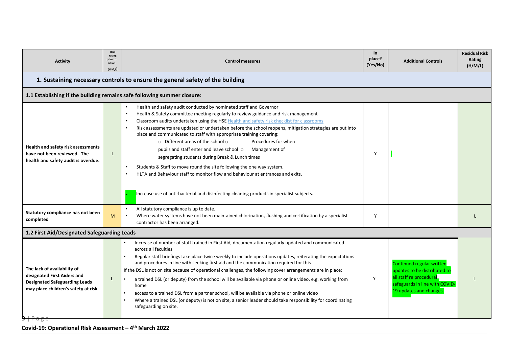| <b>Activity</b>                                                                                                                           | <b>Risk</b><br>rating<br>prior to<br>action<br>(H,M,L) | <b>Control measures</b>                                                                                                                                                                                                                                                                                                                                                                                                                                                                                                                                                                                                                                                                                                                                                                                                                                                      | In<br>place?<br>(Yes/No) | <b>Additional Controls</b>                                                                                                                        | <b>Residual Risk</b><br>Rating<br>(H/M/L) |
|-------------------------------------------------------------------------------------------------------------------------------------------|--------------------------------------------------------|------------------------------------------------------------------------------------------------------------------------------------------------------------------------------------------------------------------------------------------------------------------------------------------------------------------------------------------------------------------------------------------------------------------------------------------------------------------------------------------------------------------------------------------------------------------------------------------------------------------------------------------------------------------------------------------------------------------------------------------------------------------------------------------------------------------------------------------------------------------------------|--------------------------|---------------------------------------------------------------------------------------------------------------------------------------------------|-------------------------------------------|
|                                                                                                                                           |                                                        | 1. Sustaining necessary controls to ensure the general safety of the building                                                                                                                                                                                                                                                                                                                                                                                                                                                                                                                                                                                                                                                                                                                                                                                                |                          |                                                                                                                                                   |                                           |
|                                                                                                                                           |                                                        | 1.1 Establishing if the building remains safe following summer closure:                                                                                                                                                                                                                                                                                                                                                                                                                                                                                                                                                                                                                                                                                                                                                                                                      |                          |                                                                                                                                                   |                                           |
| Health and safety risk assessments<br>have not been reviewed. The<br>health and safety audit is overdue.                                  | L                                                      | Health and safety audit conducted by nominated staff and Governor<br>Health & Safety committee meeting regularly to review guidance and risk management<br>Classroom audits undertaken using the HSE Health and safety risk checklist for classrooms<br>Risk assessments are updated or undertaken before the school reopens, mitigation strategies are put into<br>place and communicated to staff with appropriate training covering:<br>o Different areas of the school o<br>Procedures for when<br>pupils and staff enter and leave school o<br>Management of<br>segregating students during Break & Lunch times<br>Students & Staff to move round the site following the one way system.<br>HLTA and Behaviour staff to monitor flow and behaviour at entrances and exits.<br>Increase use of anti-bacterial and disinfecting cleaning products in specialist subjects. | Y                        |                                                                                                                                                   |                                           |
| Statutory compliance has not been<br>completed                                                                                            | M                                                      | All statutory compliance is up to date.<br>$\bullet$<br>Where water systems have not been maintained chlorination, flushing and certification by a specialist<br>contractor has been arranged.                                                                                                                                                                                                                                                                                                                                                                                                                                                                                                                                                                                                                                                                               | Y                        |                                                                                                                                                   |                                           |
| 1.2 First Aid/Designated Safeguarding Leads                                                                                               |                                                        |                                                                                                                                                                                                                                                                                                                                                                                                                                                                                                                                                                                                                                                                                                                                                                                                                                                                              |                          |                                                                                                                                                   |                                           |
| The lack of availability of<br>designated First Aiders and<br><b>Designated Safeguarding Leads</b><br>may place children's safety at risk | L                                                      | Increase of number of staff trained in First Aid, documentation regularly updated and communicated<br>across all faculties<br>Regular staff briefings take place twice weekly to include operations updates, reiterating the expectations<br>and procedures in line with seeking first aid and the communication required for this<br>If the DSL is not on site because of operational challenges, the following cover arrangements are in place:<br>a trained DSL (or deputy) from the school will be available via phone or online video, e.g. working from<br>home<br>access to a trained DSL from a partner school, will be available via phone or online video<br>Where a trained DSL (or deputy) is not on site, a senior leader should take responsibility for coordinating<br>safeguarding on site.                                                                  | Y                        | Continued regular written<br>updates to be distributed to<br>all staff re procedural<br>safeguards in line with COVID-<br>19 updates and changes. |                                           |

**Covid-19: Operational Risk Assessment – 4 th March 2022**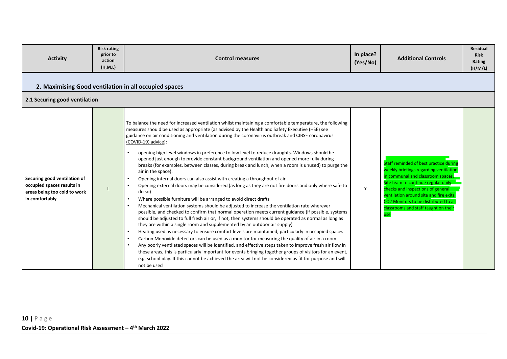| <b>Activity</b>                                                                                              | <b>Risk rating</b><br>prior to<br>action<br>(H, M, L) | <b>Control measures</b>                                                                                                                                                                                                                                                                                                                                                                                                                                                                                                                                                                                                                                                                                                                                                                                                                                                                                                                                                                                                                                                                                                                                                                                                                                                                                                                                                                                                                                                                                                                                                                                                                                                                                                                                                                                                                                                                  | In place?<br>(Yes/No) | <b>Additional Controls</b>                                                                                                                                                                                                                                                                                                         | <b>Residual</b><br><b>Risk</b><br>Rating<br>(H/M/L) |  |  |  |
|--------------------------------------------------------------------------------------------------------------|-------------------------------------------------------|------------------------------------------------------------------------------------------------------------------------------------------------------------------------------------------------------------------------------------------------------------------------------------------------------------------------------------------------------------------------------------------------------------------------------------------------------------------------------------------------------------------------------------------------------------------------------------------------------------------------------------------------------------------------------------------------------------------------------------------------------------------------------------------------------------------------------------------------------------------------------------------------------------------------------------------------------------------------------------------------------------------------------------------------------------------------------------------------------------------------------------------------------------------------------------------------------------------------------------------------------------------------------------------------------------------------------------------------------------------------------------------------------------------------------------------------------------------------------------------------------------------------------------------------------------------------------------------------------------------------------------------------------------------------------------------------------------------------------------------------------------------------------------------------------------------------------------------------------------------------------------------|-----------------------|------------------------------------------------------------------------------------------------------------------------------------------------------------------------------------------------------------------------------------------------------------------------------------------------------------------------------------|-----------------------------------------------------|--|--|--|
| 2. Maximising Good ventilation in all occupied spaces                                                        |                                                       |                                                                                                                                                                                                                                                                                                                                                                                                                                                                                                                                                                                                                                                                                                                                                                                                                                                                                                                                                                                                                                                                                                                                                                                                                                                                                                                                                                                                                                                                                                                                                                                                                                                                                                                                                                                                                                                                                          |                       |                                                                                                                                                                                                                                                                                                                                    |                                                     |  |  |  |
| 2.1 Securing good ventilation                                                                                |                                                       |                                                                                                                                                                                                                                                                                                                                                                                                                                                                                                                                                                                                                                                                                                                                                                                                                                                                                                                                                                                                                                                                                                                                                                                                                                                                                                                                                                                                                                                                                                                                                                                                                                                                                                                                                                                                                                                                                          |                       |                                                                                                                                                                                                                                                                                                                                    |                                                     |  |  |  |
| Securing good ventilation of<br>occupied spaces results in<br>areas being too cold to work<br>in comfortably |                                                       | To balance the need for increased ventilation whilst maintaining a comfortable temperature, the following<br>measures should be used as appropriate (as advised by the Health and Safety Executive (HSE) see<br>guidance on air conditioning and ventilation during the coronavirus outbreak and CIBSE coronavirus<br>(COVID-19) advice):<br>opening high level windows in preference to low level to reduce draughts. Windows should be<br>opened just enough to provide constant background ventilation and opened more fully during<br>breaks (for examples, between classes, during break and lunch, when a room is unused) to purge the<br>air in the space).<br>Opening internal doors can also assist with creating a throughput of air<br>Opening external doors may be considered (as long as they are not fire doors and only where safe to<br>do so)<br>Where possible furniture will be arranged to avoid direct drafts<br>Mechanical ventilation systems should be adjusted to increase the ventilation rate wherever<br>possible, and checked to confirm that normal operation meets current guidance (if possible, systems<br>should be adjusted to full fresh air or, if not, then systems should be operated as normal as long as<br>they are within a single room and supplemented by an outdoor air supply)<br>Heating used as necessary to ensure comfort levels are maintained, particularly in occupied spaces<br>Carbon Monoxide detectors can be used as a monitor for measuring the quality of air in a room<br>Any poorly ventilated spaces will be identified, and effective steps taken to improve fresh air flow in<br>these areas, this is particularly important for events bringing together groups of visitors for an event,<br>e.g. school play. If this cannot be achieved the area will not be considered as fit for purpose and will<br>not be used | Y                     | Staff reminded of best practice during<br>weekly briefings regarding ventilation<br>in communal and classroom spaces.<br>Site team to continue regular daily<br>checks and inspections of general<br>ventilation around site and fire exits<br>CO2 Monitors to be distributed to al<br>classrooms and staff taught on their<br>use |                                                     |  |  |  |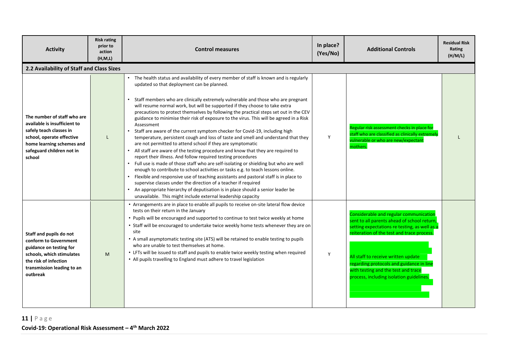| <b>Activity</b>                                                                                                                                                                         | <b>Risk rating</b><br>prior to<br>action<br>(H, M, L) | <b>Control measures</b>                                                                                                                                                                                                                                                                                                                                                                                                                                                                                                                                                                                                                                                                                                                                                                                                                                                                                                                                                                                                                                                                                                                                                                                                                                                                                                                                                                | In place?<br>(Yes/No) | <b>Additional Controls</b>                                                                                                                                                                                                                                                                                                                                 | <b>Residual Risk</b><br>Rating<br>(H/M/L) |
|-----------------------------------------------------------------------------------------------------------------------------------------------------------------------------------------|-------------------------------------------------------|----------------------------------------------------------------------------------------------------------------------------------------------------------------------------------------------------------------------------------------------------------------------------------------------------------------------------------------------------------------------------------------------------------------------------------------------------------------------------------------------------------------------------------------------------------------------------------------------------------------------------------------------------------------------------------------------------------------------------------------------------------------------------------------------------------------------------------------------------------------------------------------------------------------------------------------------------------------------------------------------------------------------------------------------------------------------------------------------------------------------------------------------------------------------------------------------------------------------------------------------------------------------------------------------------------------------------------------------------------------------------------------|-----------------------|------------------------------------------------------------------------------------------------------------------------------------------------------------------------------------------------------------------------------------------------------------------------------------------------------------------------------------------------------------|-------------------------------------------|
| 2.2 Availability of Staff and Class Sizes                                                                                                                                               |                                                       |                                                                                                                                                                                                                                                                                                                                                                                                                                                                                                                                                                                                                                                                                                                                                                                                                                                                                                                                                                                                                                                                                                                                                                                                                                                                                                                                                                                        |                       |                                                                                                                                                                                                                                                                                                                                                            |                                           |
| The number of staff who are<br>available is insufficient to<br>safely teach classes in<br>school, operate effective<br>home learning schemes and<br>safeguard children not in<br>school |                                                       | The health status and availability of every member of staff is known and is regularly<br>updated so that deployment can be planned.<br>Staff members who are clinically extremely vulnerable and those who are pregnant<br>will resume normal work, but will be supported if they choose to take extra<br>precautions to protect themselves by following the practical steps set out in the CEV<br>guidance to minimise their risk of exposure to the virus. This will be agreed in a Risk<br>Assessment<br>Staff are aware of the current symptom checker for Covid-19, including high<br>temperature, persistent cough and loss of taste and smell and understand that they<br>are not permitted to attend school if they are symptomatic<br>All staff are aware of the testing procedure and know that they are required to<br>report their illness. And follow required testing procedures<br>Full use is made of those staff who are self-isolating or shielding but who are well<br>enough to contribute to school activities or tasks e.g. to teach lessons online.<br>Flexible and responsive use of teaching assistants and pastoral staff is in place to<br>supervise classes under the direction of a teacher if required<br>An appropriate hierarchy of deputisation is in place should a senior leader be<br>unavailable. This might include external leadership capacity | Y                     | Regular risk assessment checks in place for<br>staff who are classified as clinically extremely<br>vulnerable or who are new/expectant<br>mothers.                                                                                                                                                                                                         |                                           |
| Staff and pupils do not<br>conform to Government<br>guidance on testing for<br>schools, which stimulates<br>the risk of infection<br>transmission leading to an<br>outbreak             | M                                                     | • Arrangements are in place to enable all pupils to receive on-site lateral flow device<br>tests on their return in the January<br>• Pupils will be encouraged and supported to continue to test twice weekly at home<br>• Staff will be encouraged to undertake twice weekly home tests whenever they are on<br>site<br>• A small asymptomatic testing site (ATS) will be retained to enable testing to pupils<br>who are unable to test themselves at home.<br>• LFTs will be issued to staff and pupils to enable twice weekly testing when required<br>• All pupils travelling to England must adhere to travel legislation                                                                                                                                                                                                                                                                                                                                                                                                                                                                                                                                                                                                                                                                                                                                                        | Y                     | Considerable and regular communication<br>sent to all parents ahead of school return,<br>setting expectations re testing, as well as a<br>reiteration of the test and trace process.<br>All staff to receive written update<br>regarding protocols and guidance in line<br>with testing and the test and trace<br>process, including isolation guidelines. |                                           |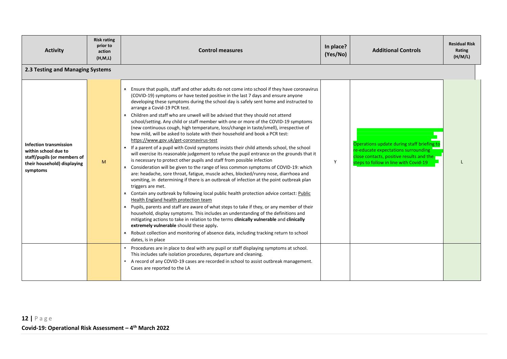| <b>Activity</b>                                                                                                                 | <b>Risk rating</b><br>prior to<br>action<br>(H, M, L) | <b>Control measures</b>                                                                                                                                                                                                                                                                                                                                                                                                                                                                                                                                                                                                                                                                                                                                                                                                                                                                                                                                                                                                                                                                                                                                                                                                                                                                                                                                                                                                                                                                                                                                                                                                                                                                                                                                                                                                                                             | In place?<br>(Yes/No) | <b>Additional Controls</b>                                                                                                                                             | <b>Residual Risk</b><br>Rating<br>(H/M/L) |
|---------------------------------------------------------------------------------------------------------------------------------|-------------------------------------------------------|---------------------------------------------------------------------------------------------------------------------------------------------------------------------------------------------------------------------------------------------------------------------------------------------------------------------------------------------------------------------------------------------------------------------------------------------------------------------------------------------------------------------------------------------------------------------------------------------------------------------------------------------------------------------------------------------------------------------------------------------------------------------------------------------------------------------------------------------------------------------------------------------------------------------------------------------------------------------------------------------------------------------------------------------------------------------------------------------------------------------------------------------------------------------------------------------------------------------------------------------------------------------------------------------------------------------------------------------------------------------------------------------------------------------------------------------------------------------------------------------------------------------------------------------------------------------------------------------------------------------------------------------------------------------------------------------------------------------------------------------------------------------------------------------------------------------------------------------------------------------|-----------------------|------------------------------------------------------------------------------------------------------------------------------------------------------------------------|-------------------------------------------|
| 2.3 Testing and Managing Systems                                                                                                |                                                       |                                                                                                                                                                                                                                                                                                                                                                                                                                                                                                                                                                                                                                                                                                                                                                                                                                                                                                                                                                                                                                                                                                                                                                                                                                                                                                                                                                                                                                                                                                                                                                                                                                                                                                                                                                                                                                                                     |                       |                                                                                                                                                                        |                                           |
| <b>Infection transmission</b><br>within school due to<br>staff/pupils (or members of<br>their household) displaying<br>symptoms | M                                                     | Ensure that pupils, staff and other adults do not come into school if they have coronavirus<br>(COVID-19) symptoms or have tested positive in the last 7 days and ensure anyone<br>developing these symptoms during the school day is safely sent home and instructed to<br>arrange a Covid-19 PCR test.<br>• Children and staff who are unwell will be advised that they should not attend<br>school/setting. Any child or staff member with one or more of the COVID-19 symptoms<br>(new continuous cough, high temperature, loss/change in taste/smell), irrespective of<br>how mild, will be asked to isolate with their household and book a PCR test:<br>https://www.gov.uk/get-coronavirus-test<br>■ If a parent of a pupil with Covid symptoms insists their child attends school, the school<br>will exercise its reasonable judgement to refuse the pupil entrance on the grounds that it<br>is necessary to protect other pupils and staff from possible infection<br>• Consideration will be given to the range of less common symptoms of COVID-19: which<br>are: headache, sore throat, fatigue, muscle aches, blocked/runny nose, diarrhoea and<br>vomiting, in determining if there is an outbreak of infection at the point outbreak plan<br>triggers are met.<br>■ Contain any outbreak by following local public health protection advice contact: Public<br>Health England health protection team<br>• Pupils, parents and staff are aware of what steps to take if they, or any member of their<br>household, display symptoms. This includes an understanding of the definitions and<br>mitigating actions to take in relation to the terms clinically vulnerable and clinically<br>extremely vulnerable should these apply.<br>■ Robust collection and monitoring of absence data, including tracking return to school<br>dates, is in place | Y                     | Operations update during staff briefing to<br>re-educate expectations surrounding<br>close contacts, positive results and the<br>steps to follow in line with Covid-19 |                                           |
|                                                                                                                                 |                                                       | • Procedures are in place to deal with any pupil or staff displaying symptoms at school.<br>This includes safe isolation procedures, departure and cleaning.<br>A record of any COVID-19 cases are recorded in school to assist outbreak management.<br>Cases are reported to the LA                                                                                                                                                                                                                                                                                                                                                                                                                                                                                                                                                                                                                                                                                                                                                                                                                                                                                                                                                                                                                                                                                                                                                                                                                                                                                                                                                                                                                                                                                                                                                                                |                       |                                                                                                                                                                        |                                           |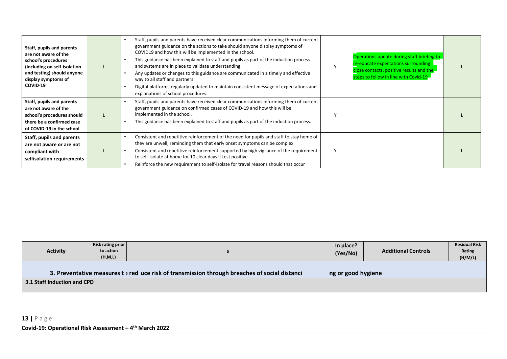| Staff, pupils and parents<br>are not aware of the<br>school's procedures<br>(including on self-isolation<br>and testing) should anyone<br>display symptoms of<br>COVID-19 | Staff, pupils and parents have received clear communications informing them of current<br>government guidance on the actions to take should anyone display symptoms of<br>COVID19 and how this will be implemented in the school.<br>This guidance has been explained to staff and pupils as part of the induction process<br>and systems are in place to validate understanding<br>Any updates or changes to this guidance are communicated in a timely and effective<br>way to all staff and partners<br>Digital platforms regularly updated to maintain consistent message of expectations and<br>explanations of school procedures. | Operations update during staff briefing to<br>re-educate expectations surrounding<br>close contacts, positive results and the<br>steps to follow in line with Covid-19 |  |
|---------------------------------------------------------------------------------------------------------------------------------------------------------------------------|-----------------------------------------------------------------------------------------------------------------------------------------------------------------------------------------------------------------------------------------------------------------------------------------------------------------------------------------------------------------------------------------------------------------------------------------------------------------------------------------------------------------------------------------------------------------------------------------------------------------------------------------|------------------------------------------------------------------------------------------------------------------------------------------------------------------------|--|
| Staff, pupils and parents<br>are not aware of the<br>school's procedures should<br>there be a confirmed case<br>of COVID-19 in the school                                 | Staff, pupils and parents have received clear communications informing them of current<br>government guidance on confirmed cases of COVID-19 and how this will be<br>implemented in the school.<br>This guidance has been explained to staff and pupils as part of the induction process.                                                                                                                                                                                                                                                                                                                                               |                                                                                                                                                                        |  |
| Staff, pupils and parents<br>are not aware or are not<br>compliant with<br>selfisolation requirements                                                                     | Consistent and repetitive reinforcement of the need for pupils and staff to stay home of<br>they are unwell, reminding them that early onset symptoms can be complex<br>Consistent and repetitive reinforcement supported by high vigilance of the requirement<br>to self-isolate at home for 10 clear days if test positive.<br>Reinforce the new requirement to self-isolate for travel reasons should that occur                                                                                                                                                                                                                     |                                                                                                                                                                        |  |

| <b>Activity</b>                                                                                                                 | Risk rating prior<br>to action<br>(H, M, L) |  | In place?<br>(Yes/No) | <b>Additional Controls</b> | <b>Residual Risk</b><br>Rating<br>(H/M/L) |  |  |
|---------------------------------------------------------------------------------------------------------------------------------|---------------------------------------------|--|-----------------------|----------------------------|-------------------------------------------|--|--|
| 3. Preventative measures $t \rightarrow$ red uce risk of transmission through breaches of social distanci<br>ng or good hygiene |                                             |  |                       |                            |                                           |  |  |
| 3.1 Staff Induction and CPD                                                                                                     |                                             |  |                       |                            |                                           |  |  |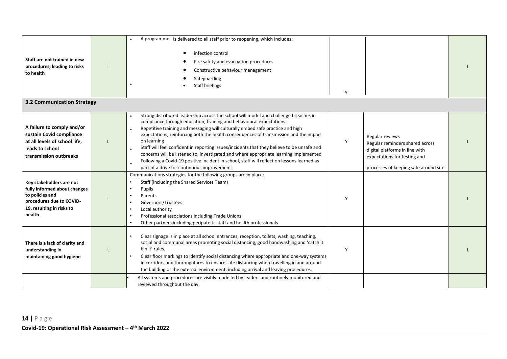| Staff are not trained in new<br>procedures, leading to risks<br>to health                                                                      | A programme is delivered to all staff prior to reopening, which includes:<br>infection control<br>Fire safety and evacuation procedures<br>Constructive behaviour management<br>Safeguarding<br><b>Staff briefings</b>                                                                                                                                                                                                                                                                                                                                                                                                                                                                   | Y |                                                                                                                                                               |  |
|------------------------------------------------------------------------------------------------------------------------------------------------|------------------------------------------------------------------------------------------------------------------------------------------------------------------------------------------------------------------------------------------------------------------------------------------------------------------------------------------------------------------------------------------------------------------------------------------------------------------------------------------------------------------------------------------------------------------------------------------------------------------------------------------------------------------------------------------|---|---------------------------------------------------------------------------------------------------------------------------------------------------------------|--|
| <b>3.2 Communication Strategy</b>                                                                                                              |                                                                                                                                                                                                                                                                                                                                                                                                                                                                                                                                                                                                                                                                                          |   |                                                                                                                                                               |  |
| A failure to comply and/or<br>sustain Covid compliance<br>at all levels of school life,<br>leads to school<br>transmission outbreaks           | Strong distributed leadership across the school will model and challenge breaches in<br>compliance through education, training and behavioural expectations<br>Repetitive training and messaging will culturally embed safe practice and high<br>expectations, reinforcing both the health consequences of transmission and the impact<br>on learning<br>Staff will feel confident in reporting issues/incidents that they believe to be unsafe and<br>concerns will be listened to, investigated and where appropriate learning implemented<br>Following a Covid-19 positive incident in school, staff will reflect on lessons learned as<br>part of a drive for continuous improvement | Y | Regular reviews<br>Regular reminders shared across<br>digital platforms in line with<br>expectations for testing and<br>processes of keeping safe around site |  |
| Key stakeholders are not<br>fully informed about changes<br>to policies and<br>procedures due to COVID-<br>19, resulting in risks to<br>health | Communications strategies for the following groups are in place:<br>Staff (including the Shared Services Team)<br>Pupils<br>$\bullet$<br>Parents<br>Governors/Trustees<br>Local authority<br>Professional associations including Trade Unions<br>Other partners including peripatetic staff and health professionals                                                                                                                                                                                                                                                                                                                                                                     | Y |                                                                                                                                                               |  |
| There is a lack of clarity and<br>understanding in<br>maintaining good hygiene                                                                 | Clear signage is in place at all school entrances, reception, toilets, washing, teaching,<br>social and communal areas promoting social distancing, good handwashing and 'catch it<br>bin it' rules.<br>Clear floor markings to identify social distancing where appropriate and one-way systems<br>in corridors and thoroughfares to ensure safe distancing when travelling in and around<br>the building or the external environment, including arrival and leaving procedures.                                                                                                                                                                                                        | Y |                                                                                                                                                               |  |
|                                                                                                                                                | All systems and procedures are visibly modelled by leaders and routinely monitored and<br>reviewed throughout the day.                                                                                                                                                                                                                                                                                                                                                                                                                                                                                                                                                                   |   |                                                                                                                                                               |  |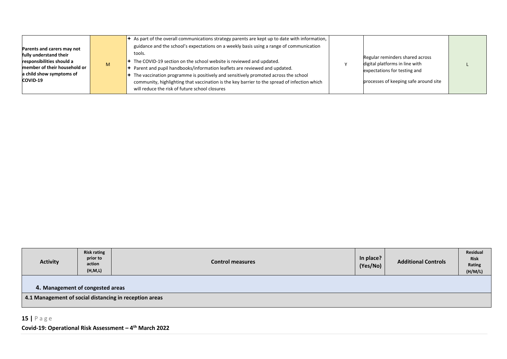| Parents and carers may not<br>fully understand their<br>responsibilities should a<br>member of their household or<br>a child show symptoms of<br>COVID-19 | M | $\star$ As part of the overall communications strategy parents are kept up to date with information,<br>guidance and the school's expectations on a weekly basis using a range of communication<br>tools.<br>$\div$ The COVID-19 section on the school website is reviewed and updated.<br>$\blacktriangleright$ Parent and pupil handbooks/information leaflets are reviewed and updated.<br>The vaccination programme is positively and sensitively promoted across the school<br>community, highlighting that vaccination is the key barrier to the spread of infection which<br>will reduce the risk of future school closures |  | Regular reminders shared across<br>digital platforms in line with<br>expectations for testing and<br>processes of keeping safe around site |  |  |
|-----------------------------------------------------------------------------------------------------------------------------------------------------------|---|------------------------------------------------------------------------------------------------------------------------------------------------------------------------------------------------------------------------------------------------------------------------------------------------------------------------------------------------------------------------------------------------------------------------------------------------------------------------------------------------------------------------------------------------------------------------------------------------------------------------------------|--|--------------------------------------------------------------------------------------------------------------------------------------------|--|--|
|-----------------------------------------------------------------------------------------------------------------------------------------------------------|---|------------------------------------------------------------------------------------------------------------------------------------------------------------------------------------------------------------------------------------------------------------------------------------------------------------------------------------------------------------------------------------------------------------------------------------------------------------------------------------------------------------------------------------------------------------------------------------------------------------------------------------|--|--------------------------------------------------------------------------------------------------------------------------------------------|--|--|

| <b>Activity</b> | <b>Risk rating</b><br>prior to<br>action<br>(H, M, L)                                      | <b>Control measures</b> | In place?<br>(Yes/No) | <b>Additional Controls</b> | Residual<br><b>Risk</b><br>Rating<br>(H/M/L) |  |  |  |  |
|-----------------|--------------------------------------------------------------------------------------------|-------------------------|-----------------------|----------------------------|----------------------------------------------|--|--|--|--|
|                 | 4. Management of congested areas<br>4.1 Management of social distancing in reception areas |                         |                       |                            |                                              |  |  |  |  |
|                 |                                                                                            |                         |                       |                            |                                              |  |  |  |  |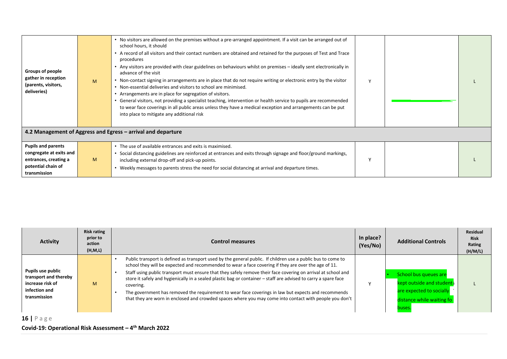| Groups of people<br>gather in reception<br>(parents, visitors,<br>deliveries)                                       | M | • No visitors are allowed on the premises without a pre-arranged appointment. If a visit can be arranged out of<br>school hours, it should<br>• A record of all visitors and their contact numbers are obtained and retained for the purposes of Test and Trace<br>procedures<br>• Any visitors are provided with clear guidelines on behaviours whilst on premises – ideally sent electronically in<br>advance of the visit<br>• Non-contact signing in arrangements are in place that do not require writing or electronic entry by the visitor<br>• Non-essential deliveries and visitors to school are minimised.<br>• Arrangements are in place for segregation of visitors.<br>• General visitors, not providing a specialist teaching, intervention or health service to pupils are recommended<br>to wear face coverings in all public areas unless they have a medical exception and arrangements can be put<br>into place to mitigate any additional risk | $\vee$   |  |
|---------------------------------------------------------------------------------------------------------------------|---|---------------------------------------------------------------------------------------------------------------------------------------------------------------------------------------------------------------------------------------------------------------------------------------------------------------------------------------------------------------------------------------------------------------------------------------------------------------------------------------------------------------------------------------------------------------------------------------------------------------------------------------------------------------------------------------------------------------------------------------------------------------------------------------------------------------------------------------------------------------------------------------------------------------------------------------------------------------------|----------|--|
|                                                                                                                     |   | 4.2 Management of Aggress and Egress – arrival and departure                                                                                                                                                                                                                                                                                                                                                                                                                                                                                                                                                                                                                                                                                                                                                                                                                                                                                                        |          |  |
| <b>Pupils and parents</b><br>congregate at exits and<br>entrances, creating a<br>potential chain of<br>transmission | M | • The use of available entrances and exits is maximised.<br>Social distancing guidelines are reinforced at entrances and exits through signage and floor/ground markings,<br>including external drop-off and pick-up points.<br>. Weekly messages to parents stress the need for social distancing at arrival and departure times.                                                                                                                                                                                                                                                                                                                                                                                                                                                                                                                                                                                                                                  | <b>V</b> |  |

| <b>Activity</b>                                                                                 | <b>Risk rating</b><br>prior to<br>action<br>(H,M,L) | <b>Control measures</b>                                                                                                                                                                                                                                                                                                                                                                                                                                                                                                                                                                                                                                                                 | In place?<br>(Yes/No) | <b>Additional Controls</b>                                                                                            | <b>Residual</b><br><b>Risk</b><br>Rating<br>(H/M/L) |
|-------------------------------------------------------------------------------------------------|-----------------------------------------------------|-----------------------------------------------------------------------------------------------------------------------------------------------------------------------------------------------------------------------------------------------------------------------------------------------------------------------------------------------------------------------------------------------------------------------------------------------------------------------------------------------------------------------------------------------------------------------------------------------------------------------------------------------------------------------------------------|-----------------------|-----------------------------------------------------------------------------------------------------------------------|-----------------------------------------------------|
| Pupils use public<br>transport and thereby<br>increase risk of<br>infection and<br>transmission | M                                                   | Public transport is defined as transport used by the general public. If children use a public bus to come to<br>school they will be expected and recommended to wear a face covering if they are over the age of 11.<br>Staff using public transport must ensure that they safely remove their face covering on arrival at school and<br>store it safely and hygienically in a sealed plastic bag or container - staff are advised to carry a spare face<br>covering.<br>The government has removed the requirement to wear face coverings in law but expects and recommends<br>that they are worn in enclosed and crowded spaces where you may come into contact with people you don't |                       | School bus queues are<br>kept outside and student;<br>are expected to socially<br>distance while waiting fo<br>buses. |                                                     |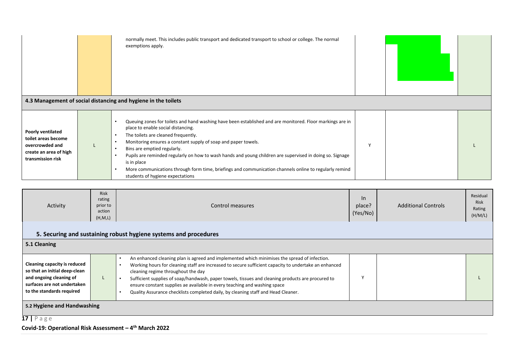|                                                                                                                   | normally meet. This includes public transport and dedicated transport to school or college. The normal<br>exemptions apply.<br>4.3 Management of social distancing and hygiene in the toilets                                                                                                                                                                                                                                                                                                                                                                     |              |  |
|-------------------------------------------------------------------------------------------------------------------|-------------------------------------------------------------------------------------------------------------------------------------------------------------------------------------------------------------------------------------------------------------------------------------------------------------------------------------------------------------------------------------------------------------------------------------------------------------------------------------------------------------------------------------------------------------------|--------------|--|
| <b>Poorly ventilated</b><br>toilet areas become<br>overcrowded and<br>create an area of high<br>transmission risk | Queuing zones for toilets and hand washing have been established and are monitored. Floor markings are in<br>place to enable social distancing.<br>The toilets are cleaned frequently.<br>Monitoring ensures a constant supply of soap and paper towels.<br>Bins are emptied regularly.<br>Pupils are reminded regularly on how to wash hands and young children are supervised in doing so. Signage<br>is in place<br>More communications through form time, briefings and communication channels online to regularly remind<br>students of hygiene expectations | $\mathbf{v}$ |  |

| Activity                                                                                                                                             | <b>Risk</b><br>rating<br>prior to<br>action<br>(H, M, L) | Control measures                                                                                                                                                                                                                                                                                                                                                                                                                                                                                                                             | $\ln$<br>place?<br>(Yes/No) | <b>Additional Controls</b> | Residual<br><b>Risk</b><br>Rating<br>(H/M/L) |  |  |  |
|------------------------------------------------------------------------------------------------------------------------------------------------------|----------------------------------------------------------|----------------------------------------------------------------------------------------------------------------------------------------------------------------------------------------------------------------------------------------------------------------------------------------------------------------------------------------------------------------------------------------------------------------------------------------------------------------------------------------------------------------------------------------------|-----------------------------|----------------------------|----------------------------------------------|--|--|--|
| 5. Securing and sustaining robust hygiene systems and procedures                                                                                     |                                                          |                                                                                                                                                                                                                                                                                                                                                                                                                                                                                                                                              |                             |                            |                                              |  |  |  |
| 5.1 Cleaning                                                                                                                                         |                                                          |                                                                                                                                                                                                                                                                                                                                                                                                                                                                                                                                              |                             |                            |                                              |  |  |  |
| Cleaning capacity is reduced<br>so that an initial deep-clean<br>and ongoing cleaning of<br>surfaces are not undertaken<br>to the standards required |                                                          | An enhanced cleaning plan is agreed and implemented which minimises the spread of infection.<br>$\bullet$<br>Working hours for cleaning staff are increased to secure sufficient capacity to undertake an enhanced<br>$\bullet$<br>cleaning regime throughout the day<br>Sufficient supplies of soap/handwash, paper towels, tissues and cleaning products are procured to<br>ensure constant supplies ae available in every teaching and washing space<br>Quality Assurance checklists completed daily, by cleaning staff and Head Cleaner. |                             |                            |                                              |  |  |  |
| 5.2 Hygiene and Handwashing<br>1712252                                                                                                               |                                                          |                                                                                                                                                                                                                                                                                                                                                                                                                                                                                                                                              |                             |                            |                                              |  |  |  |

#### **17 |** P a g e

#### **Covid-19: Operational Risk Assessment – 4 th March 2022**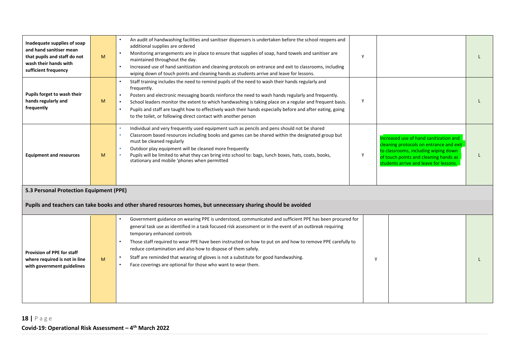| Inadequate supplies of soap<br>and hand sanitiser mean<br>that pupils and staff do not<br>wash their hands with<br>sufficient frequency | M | An audit of handwashing facilities and sanitiser dispensers is undertaken before the school reopens and<br>additional supplies are ordered<br>Monitoring arrangements are in place to ensure that supplies of soap, hand towels and sanitiser are<br>maintained throughout the day.<br>Increased use of hand sanitization and cleaning protocols on entrance and exit to classrooms, including<br>wiping down of touch points and cleaning hands as students arrive and leave for lessons.                                                                                                                                     | Y |                                                                                                                                                                                                              |  |
|-----------------------------------------------------------------------------------------------------------------------------------------|---|--------------------------------------------------------------------------------------------------------------------------------------------------------------------------------------------------------------------------------------------------------------------------------------------------------------------------------------------------------------------------------------------------------------------------------------------------------------------------------------------------------------------------------------------------------------------------------------------------------------------------------|---|--------------------------------------------------------------------------------------------------------------------------------------------------------------------------------------------------------------|--|
| Pupils forget to wash their<br>hands regularly and<br>frequently                                                                        | M | Staff training includes the need to remind pupils of the need to wash their hands regularly and<br>frequently.<br>Posters and electronic messaging boards reinforce the need to wash hands regularly and frequently.<br>School leaders monitor the extent to which handwashing is taking place on a regular and frequent basis.<br>$\bullet$<br>Pupils and staff are taught how to effectively wash their hands especially before and after eating, going<br>$\bullet$<br>to the toilet, or following direct contact with another person                                                                                       | Y |                                                                                                                                                                                                              |  |
| <b>Equipment and resources</b>                                                                                                          | M | Individual and very frequently used equipment such as pencils and pens should not be shared<br>Classroom based resources including books and games can be shared within the designated group but<br>must be cleaned regularly<br>Outdoor play equipment will be cleaned more frequently<br>Pupils will be limited to what they can bring into school to: bags, lunch boxes, hats, coats, books,<br>stationary and mobile 'phones when permitted                                                                                                                                                                                | Y | Increased use of hand sanitization and<br>cleaning protocols on entrance and exit<br>to classrooms, including wiping down<br>of touch points and cleaning hands as<br>students arrive and leave for lessons. |  |
| 5.3 Personal Protection Equipment (PPE)                                                                                                 |   |                                                                                                                                                                                                                                                                                                                                                                                                                                                                                                                                                                                                                                |   |                                                                                                                                                                                                              |  |
|                                                                                                                                         |   | Pupils and teachers can take books and other shared resources homes, but unnecessary sharing should be avoided                                                                                                                                                                                                                                                                                                                                                                                                                                                                                                                 |   |                                                                                                                                                                                                              |  |
| <b>Provision of PPE for staff</b><br>where required is not in line<br>with government guidelines                                        | M | Government guidance on wearing PPE is understood, communicated and sufficient PPE has been procured for<br>general task use as identified in a task focused risk assessment or in the event of an outbreak requiring<br>temporary enhanced controls<br>Those staff required to wear PPE have been instructed on how to put on and how to remove PPE carefully to<br>$\bullet$<br>reduce contamination and also how to dispose of them safely.<br>Staff are reminded that wearing of gloves is not a substitute for good handwashing.<br>$\bullet$<br>Face coverings are optional for those who want to wear them.<br>$\bullet$ | Y |                                                                                                                                                                                                              |  |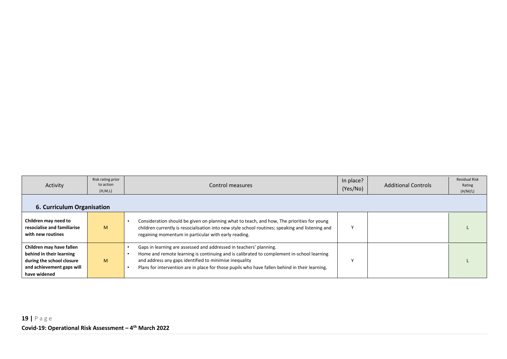| Activity                                                                                                                       | Risk rating prior<br>to action<br>(H, M, L) | Control measures                                                                                                                                                                                                                                                                                                            | In place?<br>(Yes/No) | <b>Additional Controls</b> | <b>Residual Risk</b><br>Rating<br>(H/M/L) |  |  |  |
|--------------------------------------------------------------------------------------------------------------------------------|---------------------------------------------|-----------------------------------------------------------------------------------------------------------------------------------------------------------------------------------------------------------------------------------------------------------------------------------------------------------------------------|-----------------------|----------------------------|-------------------------------------------|--|--|--|
| 6. Curriculum Organisation                                                                                                     |                                             |                                                                                                                                                                                                                                                                                                                             |                       |                            |                                           |  |  |  |
| Children may need to<br>resocialise and familiarise<br>with new routines                                                       | M                                           | Consideration should be given on planning what to teach, and how, The priorities for young<br>children currently is resocialisation into new style school routines; speaking and listening and<br>regaining momentum in particular with early reading.                                                                      |                       |                            |                                           |  |  |  |
| Children may have fallen<br>behind in their learning<br>during the school closure<br>and achievement gaps will<br>have widened | M                                           | Gaps in learning are assessed and addressed in teachers' planning.<br>Home and remote learning is continuing and is calibrated to complement in-school learning<br>and address any gaps identified to minimise inequality<br>Plans for intervention are in place for those pupils who have fallen behind in their learning. |                       |                            |                                           |  |  |  |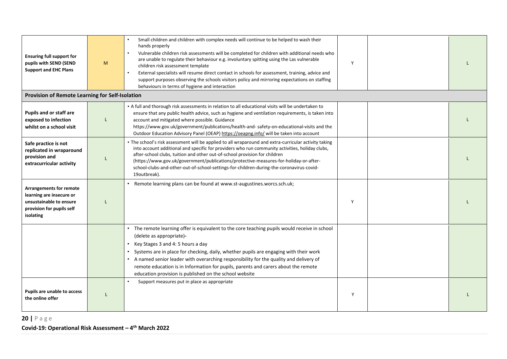| <b>Ensuring full support for</b><br>pupils with SEND (SEND<br><b>Support and EHC Plans</b>                                      | M | Small children and children with complex needs will continue to be helped to wash their<br>hands properly<br>Vulnerable children risk assessments will be completed for children with additional needs who<br>$\bullet$<br>are unable to regulate their behaviour e.g. involuntary spitting using the Las vulnerable<br>children risk assessment template<br>External specialists will resume direct contact in schools for assessment, training, advice and<br>support purposes observing the schools visitors policy and mirroring expectations on staffing<br>behaviours in terms of hygiene and interaction | Y |  |
|---------------------------------------------------------------------------------------------------------------------------------|---|-----------------------------------------------------------------------------------------------------------------------------------------------------------------------------------------------------------------------------------------------------------------------------------------------------------------------------------------------------------------------------------------------------------------------------------------------------------------------------------------------------------------------------------------------------------------------------------------------------------------|---|--|
| Provision of Remote Learning for Self-Isolation                                                                                 |   |                                                                                                                                                                                                                                                                                                                                                                                                                                                                                                                                                                                                                 |   |  |
| <b>Pupils and or staff are</b><br>exposed to infection<br>whilst on a school visit                                              |   | • A full and thorough risk assessments in relation to all educational visits will be undertaken to<br>ensure that any public health advice, such as hygiene and ventilation requirements, is taken into<br>account and mitigated where possible. Guidance<br>https://www.gov.uk/government/publications/health-and-safety-on-educational-visits and the<br>Outdoor Education Advisory Panel (OEAP) https://oeapng.info/ will be taken into account                                                                                                                                                              |   |  |
| Safe practice is not<br>replicated in wraparound<br>provision and<br>extracurricular activity                                   | L | . The school's risk assessment will be applied to all wraparound and extra-curricular activity taking<br>into account additional and specific for providers who run community activities, holiday clubs,<br>after-school clubs, tuition and other out-of-school provision for children<br>(https://www.gov.uk/government/publications/protective-measures-for-holiday-or-after-<br>school-clubs-and-other-out-of-school-settings-for-children-during-the-coronavirus-covid-<br>19outbreak).                                                                                                                     |   |  |
| <b>Arrangements for remote</b><br>learning are insecure or<br>unsustainable to ensure<br>provision for pupils self<br>isolating |   | Remote learning plans can be found at www.st-augustines.worcs.sch.uk;                                                                                                                                                                                                                                                                                                                                                                                                                                                                                                                                           | Y |  |
|                                                                                                                                 |   | • The remote learning offer is equivalent to the core teaching pupils would receive in school<br>(delete as appropriate)-<br>Key Stages 3 and 4: 5 hours a day<br>Systems are in place for checking, daily, whether pupils are engaging with their work<br>• A named senior leader with overarching responsibility for the quality and delivery of<br>remote education is in Information for pupils, parents and carers about the remote<br>education provision is published on the school website                                                                                                              |   |  |
| Pupils are unable to access<br>the online offer                                                                                 | L | Support measures put in place as appropriate                                                                                                                                                                                                                                                                                                                                                                                                                                                                                                                                                                    | Y |  |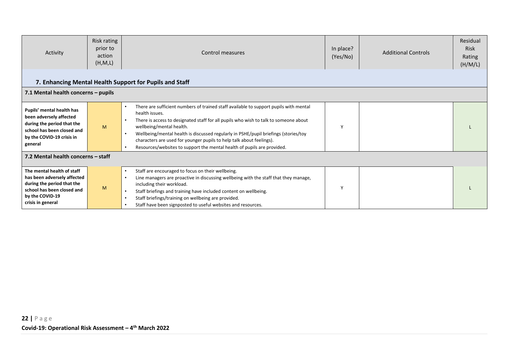| Activity                                                                                                                                                      | Risk rating<br>prior to<br>action<br>(H, M, L) | Control measures                                                                                                                                                                                                                                                                                                                                                                                                                                                                   | In place?<br>(Yes/No) | <b>Additional Controls</b> | Residual<br><b>Risk</b><br>Rating<br>(H/M/L) |  |  |  |
|---------------------------------------------------------------------------------------------------------------------------------------------------------------|------------------------------------------------|------------------------------------------------------------------------------------------------------------------------------------------------------------------------------------------------------------------------------------------------------------------------------------------------------------------------------------------------------------------------------------------------------------------------------------------------------------------------------------|-----------------------|----------------------------|----------------------------------------------|--|--|--|
|                                                                                                                                                               |                                                | 7. Enhancing Mental Health Support for Pupils and Staff                                                                                                                                                                                                                                                                                                                                                                                                                            |                       |                            |                                              |  |  |  |
| 7.1 Mental health concerns - pupils                                                                                                                           |                                                |                                                                                                                                                                                                                                                                                                                                                                                                                                                                                    |                       |                            |                                              |  |  |  |
| Pupils' mental health has<br>been adversely affected<br>during the period that the<br>school has been closed and<br>by the COVID-19 crisis in<br>general      | M                                              | There are sufficient numbers of trained staff available to support pupils with mental<br>health issues.<br>There is access to designated staff for all pupils who wish to talk to someone about<br>wellbeing/mental health.<br>Wellbeing/mental health is discussed regularly in PSHE/pupil briefings (stories/toy<br>$\bullet$<br>characters are used for younger pupils to help talk about feelings).<br>Resources/websites to support the mental health of pupils are provided. | Y                     |                            |                                              |  |  |  |
|                                                                                                                                                               | 7.2 Mental health concerns - staff             |                                                                                                                                                                                                                                                                                                                                                                                                                                                                                    |                       |                            |                                              |  |  |  |
| The mental health of staff<br>has been adversely affected<br>during the period that the<br>school has been closed and<br>by the COVID-19<br>crisis in general | M                                              | Staff are encouraged to focus on their wellbeing.<br>$\bullet$<br>Line managers are proactive in discussing wellbeing with the staff that they manage,<br>$\bullet$<br>including their workload.<br>Staff briefings and training have included content on wellbeing.<br>$\bullet$<br>Staff briefings/training on wellbeing are provided.<br>Staff have been signposted to useful websites and resources.                                                                           | Y                     |                            |                                              |  |  |  |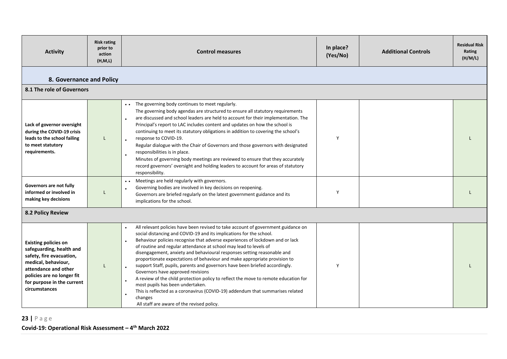| <b>Activity</b>                                                                                                                                                                                                 | <b>Risk rating</b><br>prior to<br>action<br>(H,M,L) | <b>Control measures</b>                                                                                                                                                                                                                                                                                                                                                                                                                                                                                                                                                                                                                                                                                                                                                                                                                                                                                 | In place?<br>(Yes/No) | <b>Additional Controls</b> | <b>Residual Risk</b><br>Rating<br>(H/M/L) |
|-----------------------------------------------------------------------------------------------------------------------------------------------------------------------------------------------------------------|-----------------------------------------------------|---------------------------------------------------------------------------------------------------------------------------------------------------------------------------------------------------------------------------------------------------------------------------------------------------------------------------------------------------------------------------------------------------------------------------------------------------------------------------------------------------------------------------------------------------------------------------------------------------------------------------------------------------------------------------------------------------------------------------------------------------------------------------------------------------------------------------------------------------------------------------------------------------------|-----------------------|----------------------------|-------------------------------------------|
| 8. Governance and Policy                                                                                                                                                                                        |                                                     |                                                                                                                                                                                                                                                                                                                                                                                                                                                                                                                                                                                                                                                                                                                                                                                                                                                                                                         |                       |                            |                                           |
| 8.1 The role of Governors                                                                                                                                                                                       |                                                     |                                                                                                                                                                                                                                                                                                                                                                                                                                                                                                                                                                                                                                                                                                                                                                                                                                                                                                         |                       |                            |                                           |
| Lack of governor oversight<br>during the COVID-19 crisis<br>leads to the school failing<br>to meet statutory<br>requirements.<br>Governors are not fully<br>informed or involved in                             |                                                     | The governing body continues to meet regularly.<br>The governing body agendas are structured to ensure all statutory requirements<br>are discussed and school leaders are held to account for their implementation. The<br>Principal's report to LAC includes content and updates on how the school is<br>continuing to meet its statutory obligations in addition to covering the school's<br>response to COVID-19.<br>Regular dialogue with the Chair of Governors and those governors with designated<br>responsibilities is in place.<br>$\bullet$<br>Minutes of governing body meetings are reviewed to ensure that they accurately<br>record governors' oversight and holding leaders to account for areas of statutory<br>responsibility.<br>• • Meetings are held regularly with governors.<br>Governing bodies are involved in key decisions on reopening.                                     | Y<br>Y                |                            |                                           |
| making key decisions                                                                                                                                                                                            |                                                     | Governors are briefed regularly on the latest government guidance and its<br>implications for the school.                                                                                                                                                                                                                                                                                                                                                                                                                                                                                                                                                                                                                                                                                                                                                                                               |                       |                            |                                           |
| <b>8.2 Policy Review</b>                                                                                                                                                                                        |                                                     |                                                                                                                                                                                                                                                                                                                                                                                                                                                                                                                                                                                                                                                                                                                                                                                                                                                                                                         |                       |                            |                                           |
| <b>Existing policies on</b><br>safeguarding, health and<br>safety, fire evacuation,<br>medical, behaviour,<br>attendance and other<br>policies are no longer fit<br>for purpose in the current<br>circumstances |                                                     | All relevant policies have been revised to take account of government guidance on<br>$\bullet$<br>social distancing and COVID-19 and its implications for the school.<br>Behaviour policies recognise that adverse experiences of lockdown and or lack<br>of routine and regular attendance at school may lead to levels of<br>disengagement, anxiety and behavioural responses setting reasonable and<br>proportionate expectations of behaviour and make appropriate provision to<br>support Staff, pupils, parents and governors have been briefed accordingly.<br>$\bullet$<br>Governors have approved revisions<br>A review of the child protection policy to reflect the move to remote education for<br>most pupils has been undertaken.<br>This is reflected as a coronavirus (COVID-19) addendum that summarises related<br>$\bullet$<br>changes<br>All staff are aware of the revised policy. | Y                     |                            |                                           |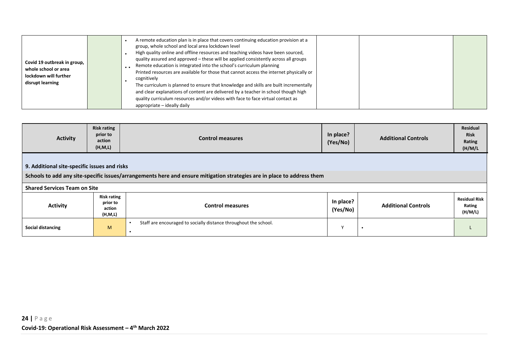| Covid 19 outbreak in group,<br>whole school or area<br>lockdown will further<br>disrupt learning |  | A remote education plan is in place that covers continuing education provision at a<br>group, whole school and local area lockdown level<br>High quality online and offline resources and teaching videos have been sourced,<br>quality assured and approved – these will be applied consistently across all groups<br>Remote education is integrated into the school's curriculum planning<br>Printed resources are available for those that cannot access the internet physically or<br>cognitively<br>The curriculum is planned to ensure that knowledge and skills are built incrementally<br>and clear explanations of content are delivered by a teacher in school though high<br>quality curriculum resources and/or videos with face to face virtual contact as<br>appropriate - ideally daily |  |  |  |
|--------------------------------------------------------------------------------------------------|--|--------------------------------------------------------------------------------------------------------------------------------------------------------------------------------------------------------------------------------------------------------------------------------------------------------------------------------------------------------------------------------------------------------------------------------------------------------------------------------------------------------------------------------------------------------------------------------------------------------------------------------------------------------------------------------------------------------------------------------------------------------------------------------------------------------|--|--|--|
|--------------------------------------------------------------------------------------------------|--|--------------------------------------------------------------------------------------------------------------------------------------------------------------------------------------------------------------------------------------------------------------------------------------------------------------------------------------------------------------------------------------------------------------------------------------------------------------------------------------------------------------------------------------------------------------------------------------------------------------------------------------------------------------------------------------------------------------------------------------------------------------------------------------------------------|--|--|--|

| <b>Activity</b>                                                                                                                                                         | <b>Risk rating</b><br>prior to<br>action<br>(H, M, L) | <b>Control measures</b>                                          | In place?<br>(Yes/No) | <b>Additional Controls</b> | Residual<br><b>Risk</b><br>Rating<br>(H/M/L) |  |  |  |
|-------------------------------------------------------------------------------------------------------------------------------------------------------------------------|-------------------------------------------------------|------------------------------------------------------------------|-----------------------|----------------------------|----------------------------------------------|--|--|--|
| 9. Additional site-specific issues and risks<br>Schools to add any site-specific issues/arrangements here and ensure mitigation strategies are in place to address them |                                                       |                                                                  |                       |                            |                                              |  |  |  |
| <b>Shared Services Team on Site</b>                                                                                                                                     |                                                       |                                                                  |                       |                            |                                              |  |  |  |
| <b>Activity</b>                                                                                                                                                         | <b>Risk rating</b><br>prior to<br>action<br>(H,M,L)   | <b>Control measures</b>                                          | In place?<br>(Yes/No) | <b>Additional Controls</b> | <b>Residual Risk</b><br>Rating<br>(H/M/L)    |  |  |  |
| <b>Social distancing</b>                                                                                                                                                | M                                                     | Staff are encouraged to socially distance throughout the school. | $\mathbf{v}$          |                            |                                              |  |  |  |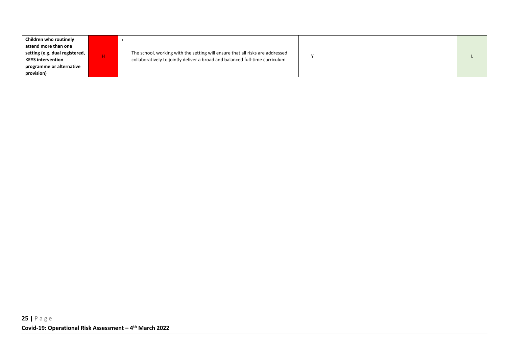| Children who routinely<br>attend more than one<br>setting (e.g. dual registered,<br>The school, working with the setting will ensure that all risks are addressed<br>н.<br>collaboratively to jointly deliver a broad and balanced full-time curriculum<br><b>KEYS intervention</b><br>programme or alternative<br>provision) |  |  |
|-------------------------------------------------------------------------------------------------------------------------------------------------------------------------------------------------------------------------------------------------------------------------------------------------------------------------------|--|--|
|-------------------------------------------------------------------------------------------------------------------------------------------------------------------------------------------------------------------------------------------------------------------------------------------------------------------------------|--|--|